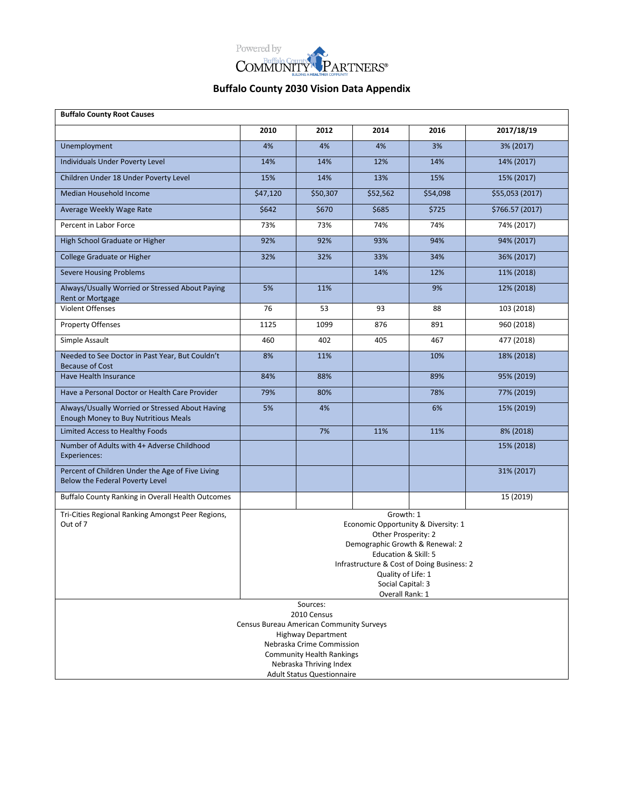

| <b>Buffalo County Root Causes</b>                                                                |                                                                                                                                                                                                                                                |                                                             |      |      |            |  |  |  |  |
|--------------------------------------------------------------------------------------------------|------------------------------------------------------------------------------------------------------------------------------------------------------------------------------------------------------------------------------------------------|-------------------------------------------------------------|------|------|------------|--|--|--|--|
|                                                                                                  | 2010                                                                                                                                                                                                                                           | 2012                                                        | 2014 | 2016 | 2017/18/19 |  |  |  |  |
| Unemployment                                                                                     | 4%                                                                                                                                                                                                                                             | 4%                                                          | 4%   | 3%   | 3% (2017)  |  |  |  |  |
| Individuals Under Poverty Level                                                                  | 14%                                                                                                                                                                                                                                            | 14%                                                         | 12%  | 14%  | 14% (2017) |  |  |  |  |
| Children Under 18 Under Poverty Level                                                            | 15%                                                                                                                                                                                                                                            | 14%                                                         | 13%  | 15%  | 15% (2017) |  |  |  |  |
| Median Household Income                                                                          | \$47,120<br>\$50,307<br>\$52,562<br>\$54,098<br>\$55,053 (2017)                                                                                                                                                                                |                                                             |      |      |            |  |  |  |  |
| Average Weekly Wage Rate                                                                         | \$642<br>\$670<br>\$685<br>\$725<br>\$766.57 (2017)                                                                                                                                                                                            |                                                             |      |      |            |  |  |  |  |
| Percent in Labor Force                                                                           | 73%                                                                                                                                                                                                                                            | 73%                                                         | 74%  | 74%  | 74% (2017) |  |  |  |  |
| High School Graduate or Higher                                                                   | 92%                                                                                                                                                                                                                                            | 92%                                                         | 93%  | 94%  | 94% (2017) |  |  |  |  |
| <b>College Graduate or Higher</b>                                                                | 32%                                                                                                                                                                                                                                            | 32%                                                         | 33%  | 34%  | 36% (2017) |  |  |  |  |
| <b>Severe Housing Problems</b>                                                                   |                                                                                                                                                                                                                                                |                                                             | 14%  | 12%  | 11% (2018) |  |  |  |  |
| Always/Usually Worried or Stressed About Paying<br><b>Rent or Mortgage</b>                       | 5%                                                                                                                                                                                                                                             | 11%                                                         |      | 9%   | 12% (2018) |  |  |  |  |
| <b>Violent Offenses</b>                                                                          | 76                                                                                                                                                                                                                                             | 53                                                          | 93   | 88   | 103 (2018) |  |  |  |  |
| <b>Property Offenses</b>                                                                         | 1125                                                                                                                                                                                                                                           | 1099                                                        | 876  | 891  | 960 (2018) |  |  |  |  |
| Simple Assault                                                                                   | 460                                                                                                                                                                                                                                            | 402                                                         | 405  | 467  | 477 (2018) |  |  |  |  |
| Needed to See Doctor in Past Year, But Couldn't<br><b>Because of Cost</b>                        | 8%                                                                                                                                                                                                                                             | 11%                                                         |      | 10%  | 18% (2018) |  |  |  |  |
| Have Health Insurance                                                                            | 84%                                                                                                                                                                                                                                            | 88%                                                         |      | 89%  | 95% (2019) |  |  |  |  |
| Have a Personal Doctor or Health Care Provider                                                   | 79%                                                                                                                                                                                                                                            | 80%                                                         |      | 78%  | 77% (2019) |  |  |  |  |
| Always/Usually Worried or Stressed About Having<br>Enough Money to Buy Nutritious Meals          | 5%                                                                                                                                                                                                                                             | 4%                                                          |      | 6%   | 15% (2019) |  |  |  |  |
| Limited Access to Healthy Foods                                                                  |                                                                                                                                                                                                                                                | 7%                                                          | 11%  | 11%  | 8% (2018)  |  |  |  |  |
| Number of Adults with 4+ Adverse Childhood<br>Experiences:                                       |                                                                                                                                                                                                                                                |                                                             |      |      | 15% (2018) |  |  |  |  |
| Percent of Children Under the Age of Five Living<br>Below the Federal Poverty Level              |                                                                                                                                                                                                                                                |                                                             |      |      | 31% (2017) |  |  |  |  |
| Buffalo County Ranking in Overall Health Outcomes                                                |                                                                                                                                                                                                                                                |                                                             |      |      | 15 (2019)  |  |  |  |  |
| Tri-Cities Regional Ranking Amongst Peer Regions,<br>Out of 7                                    | Growth: 1<br>Economic Opportunity & Diversity: 1<br>Other Prosperity: 2<br>Demographic Growth & Renewal: 2<br>Education & Skill: 5<br>Infrastructure & Cost of Doing Business: 2<br>Quality of Life: 1<br>Social Capital: 3<br>Overall Rank: 1 |                                                             |      |      |            |  |  |  |  |
| Sources:<br>2010 Census<br>Census Bureau American Community Surveys<br><b>Highway Department</b> |                                                                                                                                                                                                                                                |                                                             |      |      |            |  |  |  |  |
|                                                                                                  |                                                                                                                                                                                                                                                | Nebraska Crime Commission                                   |      |      |            |  |  |  |  |
|                                                                                                  |                                                                                                                                                                                                                                                | <b>Community Health Rankings</b><br>Nebraska Thriving Index |      |      |            |  |  |  |  |
| <b>Adult Status Questionnaire</b>                                                                |                                                                                                                                                                                                                                                |                                                             |      |      |            |  |  |  |  |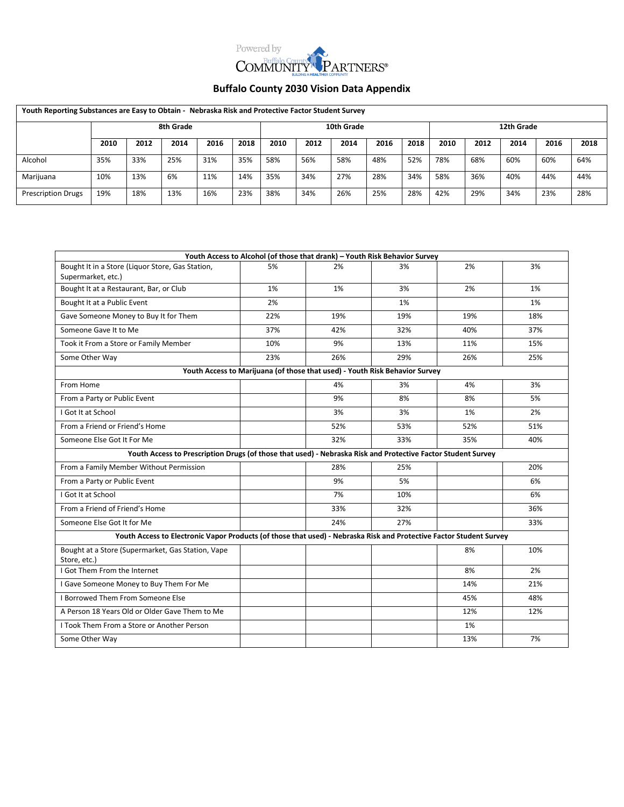

| Youth Reporting Substances are Easy to Obtain - Nebraska Risk and Protective Factor Student Survey |           |      |      |      |      |            |      |      |            |      |      |      |      |      |      |
|----------------------------------------------------------------------------------------------------|-----------|------|------|------|------|------------|------|------|------------|------|------|------|------|------|------|
|                                                                                                    | 8th Grade |      |      |      |      | 10th Grade |      |      | 12th Grade |      |      |      |      |      |      |
|                                                                                                    | 2010      | 2012 | 2014 | 2016 | 2018 | 2010       | 2012 | 2014 | 2016       | 2018 | 2010 | 2012 | 2014 | 2016 | 2018 |
| Alcohol                                                                                            | 35%       | 33%  | 25%  | 31%  | 35%  | 58%        | 56%  | 58%  | 48%        | 52%  | 78%  | 68%  | 60%  | 60%  | 64%  |
| Marijuana                                                                                          | 10%       | 13%  | 6%   | 11%  | 14%  | 35%        | 34%  | 27%  | 28%        | 34%  | 58%  | 36%  | 40%  | 44%  | 44%  |
| <b>Prescription Drugs</b>                                                                          | 19%       | 18%  | 13%  | 16%  | 23%  | 38%        | 34%  | 26%  | 25%        | 28%  | 42%  | 29%  | 34%  | 23%  | 28%  |

| Youth Access to Alcohol (of those that drank) - Youth Risk Behavior Survey                                          |     |     |                                                                             |     |     |  |  |  |  |
|---------------------------------------------------------------------------------------------------------------------|-----|-----|-----------------------------------------------------------------------------|-----|-----|--|--|--|--|
| Bought It in a Store (Liguor Store, Gas Station,<br>Supermarket, etc.)                                              | 5%  | 2%  | 3%                                                                          | 2%  | 3%  |  |  |  |  |
| Bought It at a Restaurant, Bar, or Club                                                                             | 1%  | 1%  | 3%                                                                          | 2%  | 1%  |  |  |  |  |
| Bought It at a Public Event                                                                                         | 2%  |     | 1%                                                                          |     | 1%  |  |  |  |  |
| Gave Someone Money to Buy It for Them                                                                               | 22% | 19% | 19%                                                                         | 19% | 18% |  |  |  |  |
| Someone Gave It to Me                                                                                               | 37% | 42% | 32%                                                                         | 40% | 37% |  |  |  |  |
| Took it From a Store or Family Member                                                                               | 10% | 9%  | 13%                                                                         | 11% | 15% |  |  |  |  |
| Some Other Way                                                                                                      | 23% | 26% | 29%                                                                         | 26% | 25% |  |  |  |  |
|                                                                                                                     |     |     | Youth Access to Marijuana (of those that used) - Youth Risk Behavior Survey |     |     |  |  |  |  |
| From Home                                                                                                           |     | 4%  | 3%                                                                          | 4%  | 3%  |  |  |  |  |
| From a Party or Public Event                                                                                        |     | 9%  | 8%                                                                          | 8%  | 5%  |  |  |  |  |
| I Got It at School                                                                                                  |     | 3%  | 3%                                                                          | 1%  | 2%  |  |  |  |  |
| From a Friend or Friend's Home                                                                                      |     | 52% | 53%                                                                         | 52% | 51% |  |  |  |  |
| Someone Else Got It For Me                                                                                          |     | 32% | 33%                                                                         | 35% | 40% |  |  |  |  |
| Youth Access to Prescription Drugs (of those that used) - Nebraska Risk and Protective Factor Student Survey        |     |     |                                                                             |     |     |  |  |  |  |
| From a Family Member Without Permission                                                                             |     | 28% | 25%                                                                         |     | 20% |  |  |  |  |
| From a Party or Public Event                                                                                        |     | 9%  | 5%                                                                          |     | 6%  |  |  |  |  |
| I Got It at School                                                                                                  |     | 7%  | 10%                                                                         |     | 6%  |  |  |  |  |
| From a Friend of Friend's Home                                                                                      |     | 33% | 32%                                                                         |     | 36% |  |  |  |  |
| Someone Else Got It for Me                                                                                          |     | 24% | 27%                                                                         |     | 33% |  |  |  |  |
| Youth Access to Electronic Vapor Products (of those that used) - Nebraska Risk and Protective Factor Student Survey |     |     |                                                                             |     |     |  |  |  |  |
| Bought at a Store (Supermarket, Gas Station, Vape<br>Store, etc.)                                                   |     |     |                                                                             | 8%  | 10% |  |  |  |  |
| I Got Them From the Internet                                                                                        |     |     |                                                                             | 8%  | 2%  |  |  |  |  |
| I Gave Someone Money to Buy Them For Me                                                                             |     |     |                                                                             | 14% | 21% |  |  |  |  |
| I Borrowed Them From Someone Else                                                                                   |     |     |                                                                             | 45% | 48% |  |  |  |  |
| A Person 18 Years Old or Older Gave Them to Me                                                                      |     |     |                                                                             | 12% | 12% |  |  |  |  |
| I Took Them From a Store or Another Person                                                                          |     |     |                                                                             | 1%  |     |  |  |  |  |
| Some Other Way                                                                                                      |     |     |                                                                             | 13% | 7%  |  |  |  |  |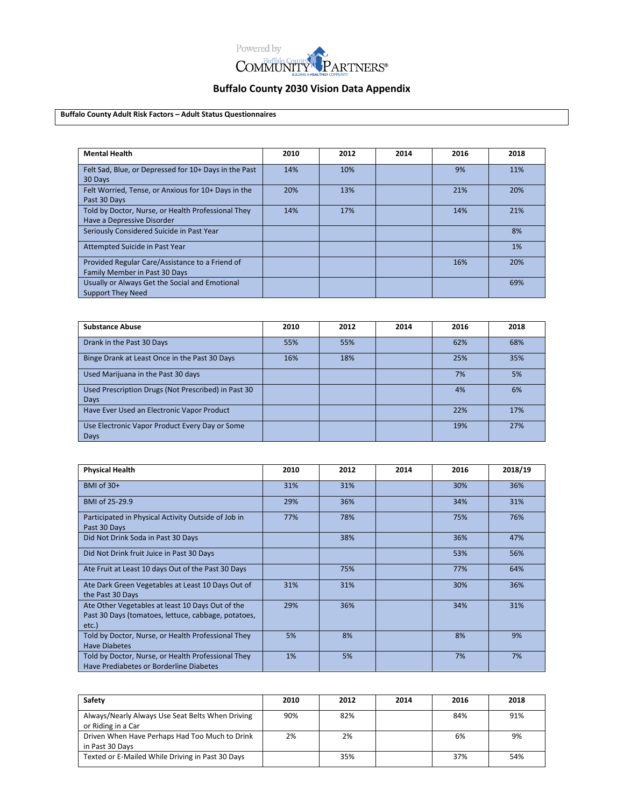

**Buffalo County Adult Risk Factors – Adult Status Questionnaires**

| <b>Mental Health</b>                                                             | 2010 | 2012 | 2014 | 2016 | 2018 |
|----------------------------------------------------------------------------------|------|------|------|------|------|
| Felt Sad, Blue, or Depressed for 10+ Days in the Past<br>30 Days                 | 14%  | 10%  |      | 9%   | 11%  |
| Felt Worried, Tense, or Anxious for 10+ Days in the<br>Past 30 Days              | 20%  | 13%  |      | 21%  | 20%  |
| Told by Doctor, Nurse, or Health Professional They<br>Have a Depressive Disorder | 14%  | 17%  |      | 14%  | 21%  |
| Seriously Considered Suicide in Past Year                                        |      |      |      |      | 8%   |
| Attempted Suicide in Past Year                                                   |      |      |      |      | 1%   |
| Provided Regular Care/Assistance to a Friend of<br>Family Member in Past 30 Days |      |      |      | 16%  | 20%  |
| Usually or Always Get the Social and Emotional<br><b>Support They Need</b>       |      |      |      |      | 69%  |

| <b>Substance Abuse</b>                                             | 2010 | 2012 | 2014 | 2016 | 2018 |
|--------------------------------------------------------------------|------|------|------|------|------|
| Drank in the Past 30 Days                                          | 55%  | 55%  |      | 62%  | 68%  |
| Binge Drank at Least Once in the Past 30 Days                      | 16%  | 18%  |      | 25%  | 35%  |
| Used Marijuana in the Past 30 days                                 |      |      |      | 7%   | 5%   |
| Used Prescription Drugs (Not Prescribed) in Past 30<br><b>Days</b> |      |      |      | 4%   | 6%   |
| Have Ever Used an Electronic Vapor Product                         |      |      |      | 22%  | 17%  |
| Use Electronic Vapor Product Every Day or Some<br>Days             |      |      |      | 19%  | 27%  |

| <b>Physical Health</b>                                                                                           | 2010 | 2012 | 2014 | 2016 | 2018/19 |
|------------------------------------------------------------------------------------------------------------------|------|------|------|------|---------|
| BMI of $30+$                                                                                                     | 31%  | 31%  |      | 30%  | 36%     |
| BMI of 25-29.9                                                                                                   | 29%  | 36%  |      | 34%  | 31%     |
| Participated in Physical Activity Outside of Job in<br>Past 30 Days                                              | 77%  | 78%  |      | 75%  | 76%     |
| Did Not Drink Soda in Past 30 Days                                                                               |      | 38%  |      | 36%  | 47%     |
| Did Not Drink fruit Juice in Past 30 Days                                                                        |      |      |      | 53%  | 56%     |
| Ate Fruit at Least 10 days Out of the Past 30 Days                                                               |      | 75%  |      | 77%  | 64%     |
| Ate Dark Green Vegetables at Least 10 Days Out of<br>the Past 30 Days                                            | 31%  | 31%  |      | 30%  | 36%     |
| Ate Other Vegetables at least 10 Days Out of the<br>Past 30 Days (tomatoes, lettuce, cabbage, potatoes,<br>etc.) | 29%  | 36%  |      | 34%  | 31%     |
| Told by Doctor, Nurse, or Health Professional They<br><b>Have Diabetes</b>                                       | 5%   | 8%   |      | 8%   | 9%      |
| Told by Doctor, Nurse, or Health Professional They<br>Have Prediabetes or Borderline Diabetes                    | 1%   | 5%   |      | 7%   | 7%      |

| Safety                                           | 2010 | 2012 | 2014 | 2016 | 2018 |
|--------------------------------------------------|------|------|------|------|------|
| Always/Nearly Always Use Seat Belts When Driving | 90%  | 82%  |      | 84%  | 91%  |
| or Riding in a Car                               |      |      |      |      |      |
| Driven When Have Perhaps Had Too Much to Drink   | 2%   | 2%   |      | 6%   | 9%   |
| in Past 30 Days                                  |      |      |      |      |      |
| Texted or E-Mailed While Driving in Past 30 Days |      | 35%  |      | 37%  | 54%  |
|                                                  |      |      |      |      |      |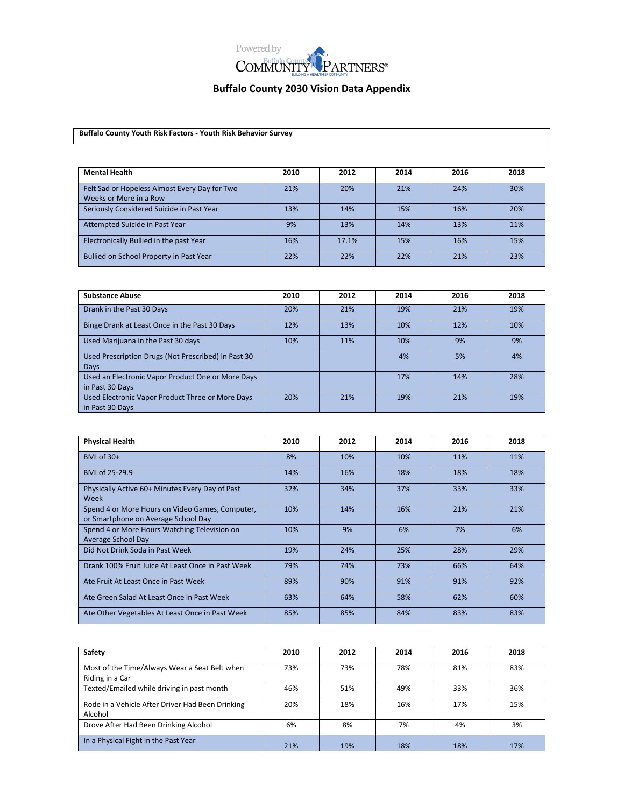

**Buffalo County Youth Risk Factors - Youth Risk Behavior Survey**

| <b>Mental Health</b>                                                    | 2010 | 2012  | 2014 | 2016 | 2018 |
|-------------------------------------------------------------------------|------|-------|------|------|------|
| Felt Sad or Hopeless Almost Every Day for Two<br>Weeks or More in a Row | 21%  | 20%   | 21%  | 24%  | 30%  |
| Seriously Considered Suicide in Past Year                               | 13%  | 14%   | 15%  | 16%  | 20%  |
| Attempted Suicide in Past Year                                          | 9%   | 13%   | 14%  | 13%  | 11%  |
| Electronically Bullied in the past Year                                 | 16%  | 17.1% | 15%  | 16%  | 15%  |
| Bullied on School Property in Past Year                                 | 22%  | 22%   | 22%  | 21%  | 23%  |

| <b>Substance Abuse</b>                              | 2010 | 2012 | 2014 | 2016 | 2018 |
|-----------------------------------------------------|------|------|------|------|------|
| Drank in the Past 30 Days                           | 20%  | 21%  | 19%  | 21%  | 19%  |
| Binge Drank at Least Once in the Past 30 Days       | 12%  | 13%  | 10%  | 12%  | 10%  |
| Used Marijuana in the Past 30 days                  | 10%  | 11%  | 10%  | 9%   | 9%   |
| Used Prescription Drugs (Not Prescribed) in Past 30 |      |      | 4%   | 5%   | 4%   |
| Days                                                |      |      |      |      |      |
| Used an Electronic Vapor Product One or More Days   |      |      | 17%  | 14%  | 28%  |
| in Past 30 Days                                     |      |      |      |      |      |
| Used Electronic Vapor Product Three or More Days    | 20%  | 21%  | 19%  | 21%  | 19%  |
| in Past 30 Days                                     |      |      |      |      |      |

| <b>Physical Health</b>                                                                 | 2010 | 2012 | 2014 | 2016 | 2018 |
|----------------------------------------------------------------------------------------|------|------|------|------|------|
| BMI of $30+$                                                                           | 8%   | 10%  | 10%  | 11%  | 11%  |
| BMI of 25-29.9                                                                         | 14%  | 16%  | 18%  | 18%  | 18%  |
| Physically Active 60+ Minutes Every Day of Past<br>Week                                | 32%  | 34%  | 37%  | 33%  | 33%  |
| Spend 4 or More Hours on Video Games, Computer,<br>or Smartphone on Average School Day | 10%  | 14%  | 16%  | 21%  | 21%  |
| Spend 4 or More Hours Watching Television on<br>Average School Day                     | 10%  | 9%   | 6%   | 7%   | 6%   |
| Did Not Drink Soda in Past Week                                                        | 19%  | 24%  | 25%  | 28%  | 29%  |
| Drank 100% Fruit Juice At Least Once in Past Week                                      | 79%  | 74%  | 73%  | 66%  | 64%  |
| Ate Fruit At Least Once in Past Week                                                   | 89%  | 90%  | 91%  | 91%  | 92%  |
| Ate Green Salad At Least Once in Past Week                                             | 63%  | 64%  | 58%  | 62%  | 60%  |
| Ate Other Vegetables At Least Once in Past Week                                        | 85%  | 85%  | 84%  | 83%  | 83%  |

| Safety                                                           | 2010 | 2012 | 2014 | 2016 | 2018 |
|------------------------------------------------------------------|------|------|------|------|------|
| Most of the Time/Always Wear a Seat Belt when<br>Riding in a Car | 73%  | 73%  | 78%  | 81%  | 83%  |
| Texted/Emailed while driving in past month                       | 46%  | 51%  | 49%  | 33%  | 36%  |
| Rode in a Vehicle After Driver Had Been Drinking<br>Alcohol      | 20%  | 18%  | 16%  | 17%  | 15%  |
| Drove After Had Been Drinking Alcohol                            | 6%   | 8%   | 7%   | 4%   | 3%   |
| In a Physical Fight in the Past Year                             | 21%  | 19%  | 18%  | 18%  | 17%  |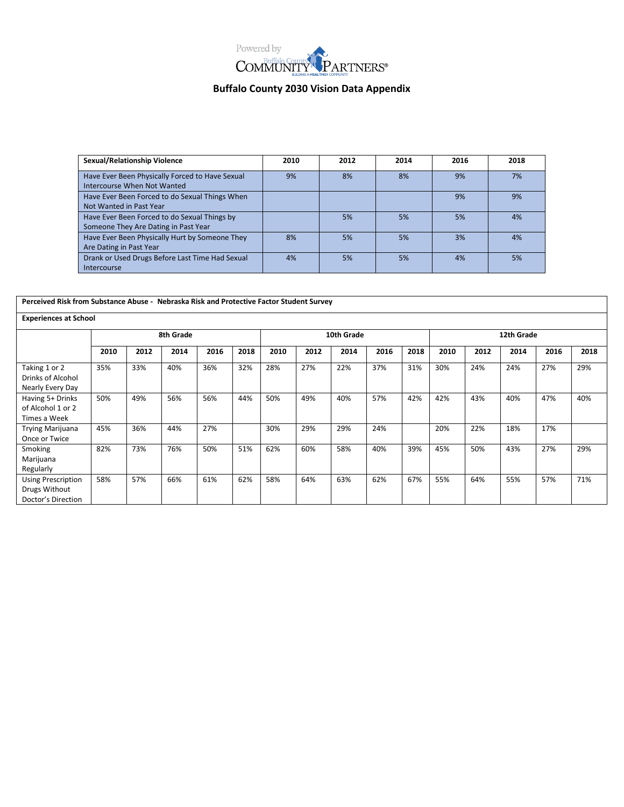

| <b>Sexual/Relationship Violence</b>                                                  | 2010 | 2012 | 2014 | 2016 | 2018 |
|--------------------------------------------------------------------------------------|------|------|------|------|------|
| Have Ever Been Physically Forced to Have Sexual<br>Intercourse When Not Wanted       | 9%   | 8%   | 8%   | 9%   | 7%   |
| Have Ever Been Forced to do Sexual Things When<br>Not Wanted in Past Year            |      |      |      | 9%   | 9%   |
| Have Ever Been Forced to do Sexual Things by<br>Someone They Are Dating in Past Year |      | 5%   | 5%   | 5%   | 4%   |
| Have Ever Been Physically Hurt by Someone They<br>Are Dating in Past Year            | 8%   | 5%   | 5%   | 3%   | 4%   |
| Drank or Used Drugs Before Last Time Had Sexual<br><b>Intercourse</b>                | 4%   | 5%   | 5%   | 4%   | 5%   |

| Perceived Risk from Substance Abuse - Nebraska Risk and Protective Factor Student Survey |           |      |      |      |            |      |      |      |      |            |      |      |      |      |      |
|------------------------------------------------------------------------------------------|-----------|------|------|------|------------|------|------|------|------|------------|------|------|------|------|------|
| <b>Experiences at School</b>                                                             |           |      |      |      |            |      |      |      |      |            |      |      |      |      |      |
|                                                                                          | 8th Grade |      |      |      | 10th Grade |      |      |      |      | 12th Grade |      |      |      |      |      |
|                                                                                          | 2010      | 2012 | 2014 | 2016 | 2018       | 2010 | 2012 | 2014 | 2016 | 2018       | 2010 | 2012 | 2014 | 2016 | 2018 |
| Taking 1 or 2<br>Drinks of Alcohol<br>Nearly Every Day                                   | 35%       | 33%  | 40%  | 36%  | 32%        | 28%  | 27%  | 22%  | 37%  | 31%        | 30%  | 24%  | 24%  | 27%  | 29%  |
| Having 5+ Drinks<br>of Alcohol 1 or 2<br>Times a Week                                    | 50%       | 49%  | 56%  | 56%  | 44%        | 50%  | 49%  | 40%  | 57%  | 42%        | 42%  | 43%  | 40%  | 47%  | 40%  |
| <b>Trying Marijuana</b><br>Once or Twice                                                 | 45%       | 36%  | 44%  | 27%  |            | 30%  | 29%  | 29%  | 24%  |            | 20%  | 22%  | 18%  | 17%  |      |
| Smoking<br>Marijuana<br>Regularly                                                        | 82%       | 73%  | 76%  | 50%  | 51%        | 62%  | 60%  | 58%  | 40%  | 39%        | 45%  | 50%  | 43%  | 27%  | 29%  |
| <b>Using Prescription</b><br>Drugs Without<br>Doctor's Direction                         | 58%       | 57%  | 66%  | 61%  | 62%        | 58%  | 64%  | 63%  | 62%  | 67%        | 55%  | 64%  | 55%  | 57%  | 71%  |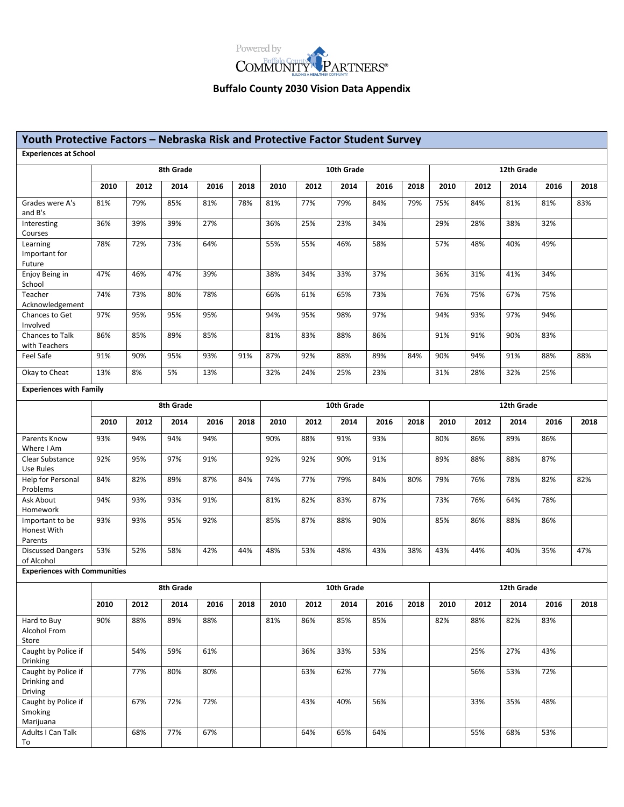

| Youth Protective Factors - Nebraska Risk and Protective Factor Student Survey |           |      |      |      |            |            |      |      |      |            |            |      |      |      |      |  |
|-------------------------------------------------------------------------------|-----------|------|------|------|------------|------------|------|------|------|------------|------------|------|------|------|------|--|
| <b>Experiences at School</b>                                                  |           |      |      |      |            |            |      |      |      |            |            |      |      |      |      |  |
|                                                                               | 8th Grade |      |      |      | 10th Grade |            |      |      |      | 12th Grade |            |      |      |      |      |  |
|                                                                               | 2010      | 2012 | 2014 | 2016 | 2018       | 2010       | 2012 | 2014 | 2016 | 2018       | 2010       | 2012 | 2014 | 2016 | 2018 |  |
| Grades were A's<br>and B's                                                    | 81%       | 79%  | 85%  | 81%  | 78%        | 81%        | 77%  | 79%  | 84%  | 79%        | 75%        | 84%  | 81%  | 81%  | 83%  |  |
| Interesting<br>Courses                                                        | 36%       | 39%  | 39%  | 27%  |            | 36%        | 25%  | 23%  | 34%  |            | 29%        | 28%  | 38%  | 32%  |      |  |
| Learning<br>Important for<br>Future                                           | 78%       | 72%  | 73%  | 64%  |            | 55%        | 55%  | 46%  | 58%  |            | 57%        | 48%  | 40%  | 49%  |      |  |
| Enjoy Being in<br>School                                                      | 47%       | 46%  | 47%  | 39%  |            | 38%        | 34%  | 33%  | 37%  |            | 36%        | 31%  | 41%  | 34%  |      |  |
| Teacher<br>Acknowledgement                                                    | 74%       | 73%  | 80%  | 78%  |            | 66%        | 61%  | 65%  | 73%  |            | 76%        | 75%  | 67%  | 75%  |      |  |
| Chances to Get<br>Involved                                                    | 97%       | 95%  | 95%  | 95%  |            | 94%        | 95%  | 98%  | 97%  |            | 94%        | 93%  | 97%  | 94%  |      |  |
| Chances to Talk<br>with Teachers                                              | 86%       | 85%  | 89%  | 85%  |            | 81%        | 83%  | 88%  | 86%  |            | 91%        | 91%  | 90%  | 83%  |      |  |
| Feel Safe                                                                     | 91%       | 90%  | 95%  | 93%  | 91%        | 87%        | 92%  | 88%  | 89%  | 84%        | 90%        | 94%  | 91%  | 88%  | 88%  |  |
| Okay to Cheat                                                                 | 13%       | 8%   | 5%   | 13%  |            | 32%        | 24%  | 25%  | 23%  |            | 31%        | 28%  | 32%  | 25%  |      |  |
| <b>Experiences with Family</b>                                                |           |      |      |      |            |            |      |      |      |            |            |      |      |      |      |  |
|                                                                               | 8th Grade |      |      |      |            | 10th Grade |      |      |      |            | 12th Grade |      |      |      |      |  |
|                                                                               | 2010      | 2012 | 2014 | 2016 | 2018       | 2010       | 2012 | 2014 | 2016 | 2018       | 2010       | 2012 | 2014 | 2016 | 2018 |  |
| Parents Know<br>Where I Am                                                    | 93%       | 94%  | 94%  | 94%  |            | 90%        | 88%  | 91%  | 93%  |            | 80%        | 86%  | 89%  | 86%  |      |  |
| Clear Substance<br>Use Rules                                                  | 92%       | 95%  | 97%  | 91%  |            | 92%        | 92%  | 90%  | 91%  |            | 89%        | 88%  | 88%  | 87%  |      |  |
| Help for Personal<br>Problems                                                 | 84%       | 82%  | 89%  | 87%  | 84%        | 74%        | 77%  | 79%  | 84%  | 80%        | 79%        | 76%  | 78%  | 82%  | 82%  |  |
| Ask About<br>Homework                                                         | 94%       | 93%  | 93%  | 91%  |            | 81%        | 82%  | 83%  | 87%  |            | 73%        | 76%  | 64%  | 78%  |      |  |
| Important to be<br>Honest With<br>Parents                                     | 93%       | 93%  | 95%  | 92%  |            | 85%        | 87%  | 88%  | 90%  |            | 85%        | 86%  | 88%  | 86%  |      |  |
| <b>Discussed Dangers</b><br>of Alcohol                                        | 53%       | 52%  | 58%  | 42%  | 44%        | 48%        | 53%  | 48%  | 43%  | 38%        | 43%        | 44%  | 40%  | 35%  | 47%  |  |
| <b>Experiences with Communities</b>                                           |           |      |      |      |            |            |      |      |      |            |            |      |      |      |      |  |
|                                                                               | 8th Grade |      |      |      |            | 10th Grade |      |      |      |            | 12th Grade |      |      |      |      |  |
|                                                                               | 2010      | 2012 | 2014 | 2016 | 2018       | 2010       | 2012 | 2014 | 2016 | 2018       | 2010       | 2012 | 2014 | 2016 | 2018 |  |
| Hard to Buy<br>Alcohol From                                                   | 90%       | 88%  | 89%  | 88%  |            | 81%        | 86%  | 85%  | 85%  |            | 82%        | 88%  | 82%  | 83%  |      |  |
| Store                                                                         |           |      |      |      |            |            |      |      |      |            |            |      |      |      |      |  |
| Caught by Police if<br><b>Drinking</b>                                        |           | 54%  | 59%  | 61%  |            |            | 36%  | 33%  | 53%  |            |            | 25%  | 27%  | 43%  |      |  |
| Caught by Police if<br>Drinking and<br><b>Driving</b>                         |           | 77%  | 80%  | 80%  |            |            | 63%  | 62%  | 77%  |            |            | 56%  | 53%  | 72%  |      |  |
| Caught by Police if<br>Smoking<br>Marijuana                                   |           | 67%  | 72%  | 72%  |            |            | 43%  | 40%  | 56%  |            |            | 33%  | 35%  | 48%  |      |  |
| Adults I Can Talk<br>To                                                       |           | 68%  | 77%  | 67%  |            |            | 64%  | 65%  | 64%  |            |            | 55%  | 68%  | 53%  |      |  |